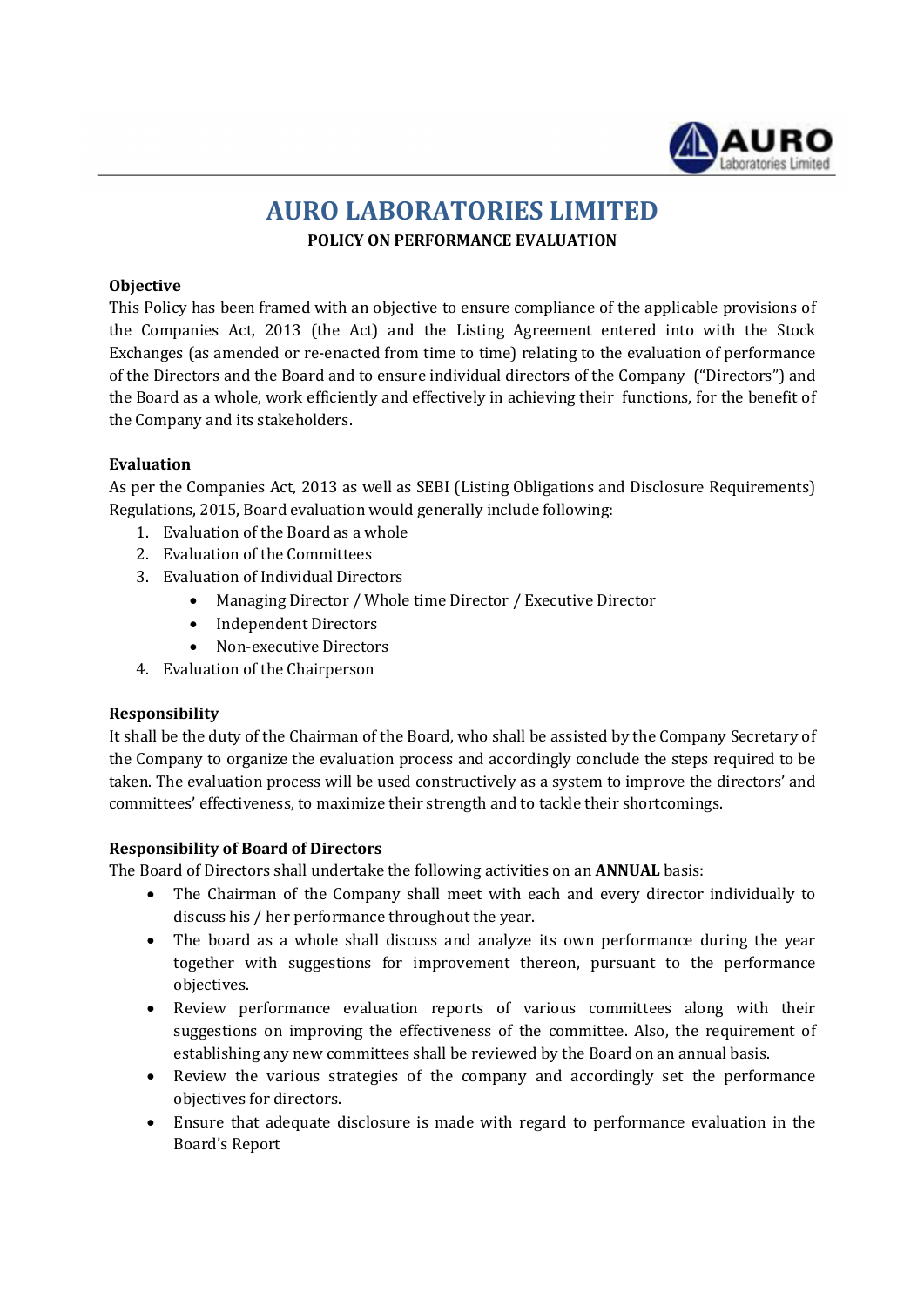

# AURO LABORATORIES LIMITED POLICY ON PERFORMANCE EVALUATION

# **Objective**

This Policy has been framed with an objective to ensure compliance of the applicable provisions of the Companies Act, 2013 (the Act) and the Listing Agreement entered into with the Stock Exchanges (as amended or re-enacted from time to time) relating to the evaluation of performance of the Directors and the Board and to ensure individual directors of the Company ("Directors") and the Board as a whole, work efficiently and effectively in achieving their functions, for the benefit of the Company and its stakeholders.

### Evaluation

As per the Companies Act, 2013 as well as SEBI (Listing Obligations and Disclosure Requirements) Regulations, 2015, Board evaluation would generally include following:

- 1. Evaluation of the Board as a whole
- 2. Evaluation of the Committees
- 3. Evaluation of Individual Directors
	- Managing Director / Whole time Director / Executive Director
	- Independent Directors
	- Non-executive Directors
- 4. Evaluation of the Chairperson

# Responsibility

It shall be the duty of the Chairman of the Board, who shall be assisted by the Company Secretary of the Company to organize the evaluation process and accordingly conclude the steps required to be taken. The evaluation process will be used constructively as a system to improve the directors' and committees' effectiveness, to maximize their strength and to tackle their shortcomings.

#### Responsibility of Board of Directors

The Board of Directors shall undertake the following activities on an ANNUAL basis:

- The Chairman of the Company shall meet with each and every director individually to discuss his / her performance throughout the year.
- The board as a whole shall discuss and analyze its own performance during the year together with suggestions for improvement thereon, pursuant to the performance objectives.
- Review performance evaluation reports of various committees along with their suggestions on improving the effectiveness of the committee. Also, the requirement of establishing any new committees shall be reviewed by the Board on an annual basis.
- Review the various strategies of the company and accordingly set the performance objectives for directors.
- Ensure that adequate disclosure is made with regard to performance evaluation in the Board's Report